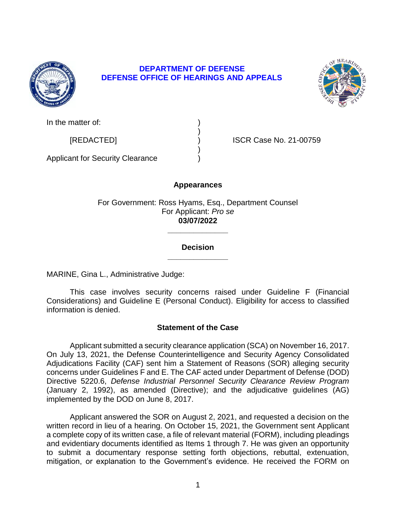

# **DEPARTMENT OF DEFENSE DEFENSE OFFICE OF HEARINGS AND APPEALS**



In the matter of:

[REDACTED] ) ISCR Case No. 21-00759

Applicant for Security Clearance )

# **Appearances**

)

)

For Government: Ross Hyams, Esq., Department Counsel For Applicant: *Pro se*  **03/07/2022** 

> **\_\_\_\_\_\_\_\_\_\_\_\_\_\_ Decision**

> **\_\_\_\_\_\_\_\_\_\_\_\_\_\_**

MARINE, Gina L., Administrative Judge:

 This case involves security concerns raised under Guideline F (Financial Considerations) and Guideline E (Personal Conduct). Eligibility for access to classified information is denied.

# **Statement of the Case**

 Applicant submitted a security clearance application (SCA) on November 16, 2017. On July 13, 2021, the Defense Counterintelligence and Security Agency Consolidated Adjudications Facility (CAF) sent him a Statement of Reasons (SOR) alleging security concerns under Guidelines F and E. The CAF acted under Department of Defense (DOD)  Directive 5220.6, *Defense Industrial Personnel Security Clearance Review Program*  (January 2, 1992), as amended (Directive); and the adjudicative guidelines (AG) implemented by the DOD on June 8, 2017.

 Applicant answered the SOR on August 2, 2021, and requested a decision on the written record in lieu of a hearing. On October 15, 2021, the Government sent Applicant a complete copy of its written case, a file of relevant material (FORM), including pleadings and evidentiary documents identified as Items 1 through 7. He was given an opportunity to submit a documentary response setting forth objections, rebuttal, extenuation, mitigation, or explanation to the Government's evidence. He received the FORM on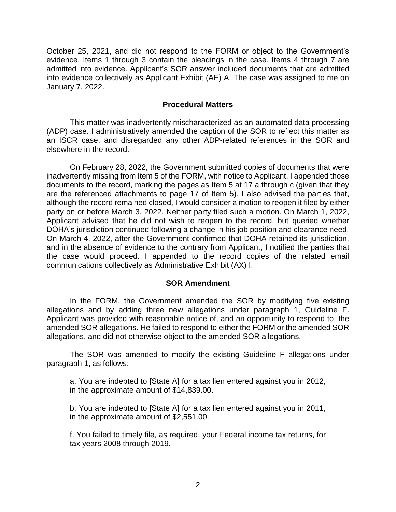October 25, 2021, and did not respond to the FORM or object to the Government's evidence. Items 1 through 3 contain the pleadings in the case. Items 4 through 7 are admitted into evidence. Applicant's SOR answer included documents that are admitted into evidence collectively as Applicant Exhibit (AE) A. The case was assigned to me on January 7, 2022.

### **Procedural Matters**

 This matter was inadvertently mischaracterized as an automated data processing (ADP) case. I administratively amended the caption of the SOR to reflect this matter as an ISCR case, and disregarded any other ADP-related references in the SOR and elsewhere in the record.

 inadvertently missing from Item 5 of the FORM, with notice to Applicant. I appended those documents to the record, marking the pages as Item 5 at 17 a through c (given that they are the referenced attachments to page 17 of Item 5). I also advised the parties that, although the record remained closed, I would consider a motion to reopen it filed by either party on or before March 3, 2022. Neither party filed such a motion. On March 1, 2022, Applicant advised that he did not wish to reopen to the record, but queried whether DOHA's jurisdiction continued following a change in his job position and clearance need. and in the absence of evidence to the contrary from Applicant, I notified the parties that the case would proceed. I appended to the record copies of the related email On February 28, 2022, the Government submitted copies of documents that were On March 4, 2022, after the Government confirmed that DOHA retained its jurisdiction, communications collectively as Administrative Exhibit (AX) I.

#### **SOR Amendment**

 In the FORM, the Government amended the SOR by modifying five existing allegations and by adding three new allegations under paragraph 1, Guideline F. Applicant was provided with reasonable notice of, and an opportunity to respond to, the amended SOR allegations. He failed to respond to either the FORM or the amended SOR allegations, and did not otherwise object to the amended SOR allegations.

 The SOR was amended to modify the existing Guideline F allegations under paragraph 1, as follows:

a. You are indebted to [State A] for a tax lien entered against you in 2012, in the approximate amount of \$14,839.00.

b. You are indebted to [State A] for a tax lien entered against you in 2011, in the approximate amount of \$2,551.00.

f. You failed to timely file, as required, your Federal income tax returns, for tax years 2008 through 2019.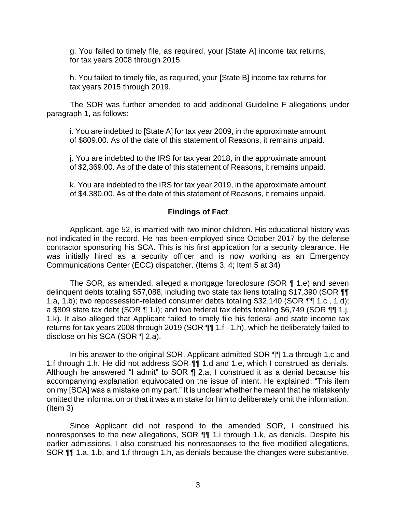g. You failed to timely file, as required, your [State A] income tax returns, for tax years 2008 through 2015.

h. You failed to timely file, as required, your [State B] income tax returns for tax years 2015 through 2019.

 The SOR was further amended to add additional Guideline F allegations under paragraph 1, as follows:

i. You are indebted to [State A] for tax year 2009, in the approximate amount of \$809.00. As of the date of this statement of Reasons, it remains unpaid.

j. You are indebted to the IRS for tax year 2018, in the approximate amount of \$2,369.00. As of the date of this statement of Reasons, it remains unpaid.

k. You are indebted to the IRS for tax year 2019, in the approximate amount of \$4,380.00. As of the date of this statement of Reasons, it remains unpaid.

#### **Findings of Fact**

 Applicant, age 52, is married with two minor children. His educational history was not indicated in the record. He has been employed since October 2017 by the defense contractor sponsoring his SCA. This is his first application for a security clearance. He was initially hired as a security officer and is now working as an Emergency Communications Center (ECC) dispatcher. (Items 3, 4; Item 5 at 34)

 The SOR, as amended, alleged a mortgage foreclosure (SOR ¶ 1.e) and seven 1.a, 1.b); two repossession-related consumer debts totaling \$32,140 (SOR ¶¶ 1.c., 1.d); a \$809 state tax debt (SOR ¶ 1.i); and two federal tax debts totaling \$6,749 (SOR ¶¶ 1.j, 1.k). It also alleged that Applicant failed to timely file his federal and state income tax returns for tax years 2008 through 2019 (SOR ¶¶ 1.f -1.h), which he deliberately failed to delinquent debts totaling \$57,088, including two state tax liens totaling \$17,390 (SOR ¶¶ disclose on his SCA (SOR ¶ 2.a).

In his answer to the original SOR, Applicant admitted SOR ¶¶ 1.a through 1.c and 1.f through 1.h. He did not address SOR ¶¶ 1.d and 1.e, which I construed as denials. Although he answered "I admit" to SOR  $\overline{\P}$  2.a, I construed it as a denial because his accompanying explanation equivocated on the issue of intent. He explained: "This item on my [SCA] was a mistake on my part." It is unclear whether he meant that he mistakenly omitted the information or that it was a mistake for him to deliberately omit the information. (Item 3)

 Since Applicant did not respond to the amended SOR, I construed his nonresponses to the new allegations, SOR ¶¶ 1.i through 1.k, as denials. Despite his earlier admissions, I also construed his nonresponses to the five modified allegations, SOR ¶¶ 1.a, 1.b, and 1.f through 1.h, as denials because the changes were substantive.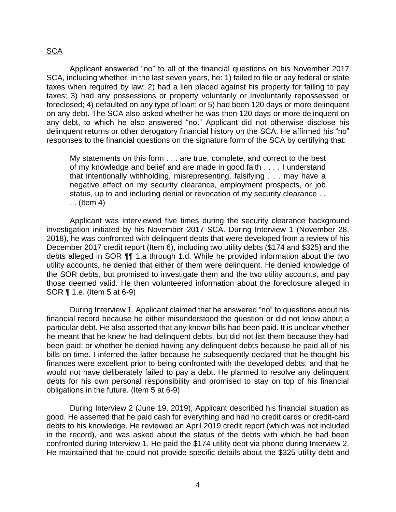# <u>SCA</u>

 Applicant answered "no" to all of the financial questions on his November 2017 SCA, including whether, in the last seven years, he: 1) failed to file or pay federal or state taxes when required by law; 2) had a lien placed against his property for failing to pay taxes; 3) had any possessions or property voluntarily or involuntarily repossessed or foreclosed; 4) defaulted on any type of loan; or 5) had been 120 days or more delinquent on any debt. The SCA also asked whether he was then 120 days or more delinquent on any debt, to which he also answered "no." Applicant did not otherwise disclose his delinquent returns or other derogatory financial history on the SCA. He affirmed his "no" responses to the financial questions on the signature form of the SCA by certifying that:

My statements on this form . . . are true, complete, and correct to the best of my knowledge and belief and are made in good faith . . . . I understand that intentionally withholding, misrepresenting, falsifying . . . may have a negative effect on my security clearance, employment prospects, or job status, up to and including denial or revocation of my security clearance . . . . (Item 4)

 Applicant was interviewed five times during the security clearance background investigation initiated by his November 2017 SCA. During Interview 1 (November 28, 2018), he was confronted with delinquent debts that were developed from a review of his December 2017 credit report (Item 6), including two utility debts (\$174 and \$325) and the debts alleged in SOR ¶¶ 1.a through 1.d. While he provided information about the two utility accounts, he denied that either of them were delinquent. He denied knowledge of the SOR debts, but promised to investigate them and the two utility accounts, and pay those deemed valid. He then volunteered information about the foreclosure alleged in SOR ¶ 1.e. (Item 5 at 6-9)

 During Interview 1, Applicant claimed that he answered "no" to questions about his financial record because he either misunderstood the question or did not know about a particular debt. He also asserted that any known bills had been paid. It is unclear whether he meant that he knew he had delinquent debts, but did not list them because they had been paid; or whether he denied having any delinquent debts because he paid all of his bills on time. I inferred the latter because he subsequently declared that he thought his finances were excellent prior to being confronted with the developed debts, and that he would not have deliberately failed to pay a debt. He planned to resolve any delinquent debts for his own personal responsibility and promised to stay on top of his financial obligations in the future. (Item 5 at 6-9)

 During Interview 2 (June 19, 2019), Applicant described his financial situation as good. He asserted that he paid cash for everything and had no credit cards or credit-card in the record), and was asked about the status of the debts with which he had been confronted during Interview 1. He paid the \$174 utility debt via phone during Interview 2. He maintained that he could not provide specific details about the \$325 utility debt and debts to his knowledge. He reviewed an April 2019 credit report (which was not included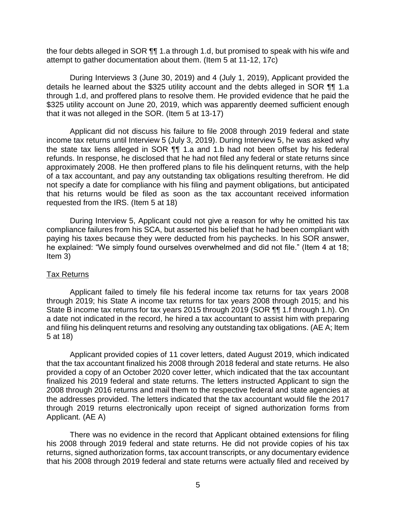the four debts alleged in SOR  $\P$  1.a through 1.d, but promised to speak with his wife and attempt to gather documentation about them. (Item 5 at 11-12, 17c)

 During Interviews 3 (June 30, 2019) and 4 (July 1, 2019), Applicant provided the details he learned about the \$325 utility account and the debts alleged in SOR ¶¶ 1.a through 1.d, and proffered plans to resolve them. He provided evidence that he paid the \$325 utility account on June 20, 2019, which was apparently deemed sufficient enough that it was not alleged in the SOR. (Item 5 at 13-17)

 Applicant did not discuss his failure to file 2008 through 2019 federal and state income tax returns until Interview 5 (July 3, 2019). During Interview 5, he was asked why the state tax liens alleged in SOR  $\P$  1.a and 1.b had not been offset by his federal refunds. In response, he disclosed that he had not filed any federal or state returns since approximately 2008. He then proffered plans to file his delinquent returns, with the help of a tax accountant, and pay any outstanding tax obligations resulting therefrom. He did not specify a date for compliance with his filing and payment obligations, but anticipated that his returns would be filed as soon as the tax accountant received information requested from the IRS. (Item 5 at 18)

 During Interview 5, Applicant could not give a reason for why he omitted his tax compliance failures from his SCA, but asserted his belief that he had been compliant with paying his taxes because they were deducted from his paychecks. In his SOR answer, he explained: "We simply found ourselves overwhelmed and did not file." (Item 4 at 18; Item 3)

#### Tax Returns

 Applicant failed to timely file his federal income tax returns for tax years 2008 through 2019; his State A income tax returns for tax years 2008 through 2015; and his State B income tax returns for tax years 2015 through 2019 (SOR ¶¶ 1.f through 1.h). On a date not indicated in the record, he hired a tax accountant to assist him with preparing and filing his delinquent returns and resolving any outstanding tax obligations. (AE A; Item 5 at 18)

 that the tax accountant finalized his 2008 through 2018 federal and state returns. He also provided a copy of an October 2020 cover letter, which indicated that the tax accountant finalized his 2019 federal and state returns. The letters instructed Applicant to sign the 2008 through 2016 returns and mail them to the respective federal and state agencies at through 2019 returns electronically upon receipt of signed authorization forms from Applicant provided copies of 11 cover letters, dated August 2019, which indicated the addresses provided. The letters indicated that the tax accountant would file the 2017 Applicant. (AE A)

 There was no evidence in the record that Applicant obtained extensions for filing his 2008 through 2019 federal and state returns. He did not provide copies of his tax returns, signed authorization forms, tax account transcripts, or any documentary evidence that his 2008 through 2019 federal and state returns were actually filed and received by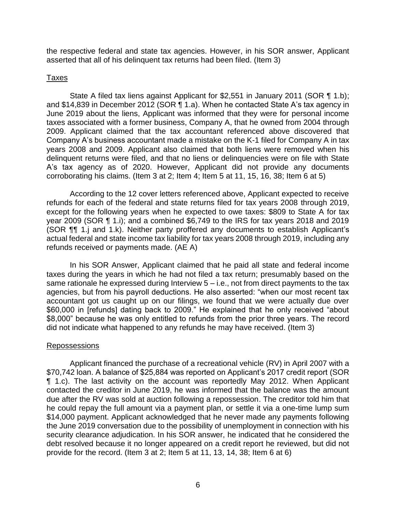the respective federal and state tax agencies. However, in his SOR answer, Applicant asserted that all of his delinquent tax returns had been filed. (Item 3)

#### Taxes

State A filed tax liens against Applicant for \$2,551 in January 2011 (SOR ¶ 1.b); and \$14,839 in December 2012 (SOR ¶ 1.a). When he contacted State A's tax agency in June 2019 about the liens, Applicant was informed that they were for personal income taxes associated with a former business, Company A, that he owned from 2004 through 2009. Applicant claimed that the tax accountant referenced above discovered that Company A's business accountant made a mistake on the K-1 filed for Company A in tax years 2008 and 2009. Applicant also claimed that both liens were removed when his delinquent returns were filed, and that no liens or delinquencies were on file with State A's tax agency as of 2020. However, Applicant did not provide any documents corroborating his claims. (Item 3 at 2; Item 4; Item 5 at 11, 15, 16, 38; Item 6 at 5)

 According to the 12 cover letters referenced above, Applicant expected to receive refunds for each of the federal and state returns filed for tax years 2008 through 2019, except for the following years when he expected to owe taxes: \$809 to State A for tax year 2009 (SOR ¶ 1.i); and a combined \$6,749 to the IRS for tax years 2018 and 2019 (SOR ¶¶ 1.j and 1.k). Neither party proffered any documents to establish Applicant's actual federal and state income tax liability for tax years 2008 through 2019, including any refunds received or payments made. (AE A)

 In his SOR Answer, Applicant claimed that he paid all state and federal income taxes during the years in which he had not filed a tax return; presumably based on the same rationale he expressed during Interview 5 – i.e., not from direct payments to the tax agencies, but from his payroll deductions. He also asserted: "when our most recent tax accountant got us caught up on our filings, we found that we were actually due over \$60,000 in [refunds] dating back to 2009." He explained that he only received "about \$8,000" because he was only entitled to refunds from the prior three years. The record did not indicate what happened to any refunds he may have received. (Item 3)

#### Repossessions

 Applicant financed the purchase of a recreational vehicle (RV) in April 2007 with a \$70,742 loan. A balance of \$25,884 was reported on Applicant's 2017 credit report (SOR ¶ 1.c). The last activity on the account was reportedly May 2012. When Applicant contacted the creditor in June 2019, he was informed that the balance was the amount due after the RV was sold at auction following a repossession. The creditor told him that he could repay the full amount via a payment plan, or settle it via a one-time lump sum \$14,000 payment. Applicant acknowledged that he never made any payments following the June 2019 conversation due to the possibility of unemployment in connection with his security clearance adjudication. In his SOR answer, he indicated that he considered the debt resolved because it no longer appeared on a credit report he reviewed, but did not provide for the record. (Item 3 at 2; Item 5 at 11, 13, 14, 38; Item 6 at 6)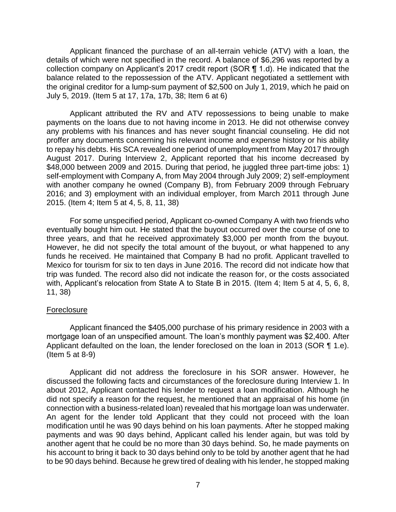Applicant financed the purchase of an all-terrain vehicle (ATV) with a loan, the details of which were not specified in the record. A balance of \$6,296 was reported by a collection company on Applicant's 2017 credit report (SOR ¶ 1.d). He indicated that the balance related to the repossession of the ATV. Applicant negotiated a settlement with the original creditor for a lump-sum payment of \$2,500 on July 1, 2019, which he paid on July 5, 2019. (Item 5 at 17, 17a, 17b, 38; Item 6 at 6)

 Applicant attributed the RV and ATV repossessions to being unable to make payments on the loans due to not having income in 2013. He did not otherwise convey any problems with his finances and has never sought financial counseling. He did not proffer any documents concerning his relevant income and expense history or his ability to repay his debts. His SCA revealed one period of unemployment from May 2017 through August 2017. During Interview 2, Applicant reported that his income decreased by \$48,000 between 2009 and 2015. During that period, he juggled three part-time jobs: 1) self-employment with Company A, from May 2004 through July 2009; 2) self-employment with another company he owned (Company B), from February 2009 through February 2016; and 3) employment with an individual employer, from March 2011 through June 2015. (Item 4; Item 5 at 4, 5, 8, 11, 38)

 For some unspecified period, Applicant co-owned Company A with two friends who eventually bought him out. He stated that the buyout occurred over the course of one to three years, and that he received approximately \$3,000 per month from the buyout. However, he did not specify the total amount of the buyout, or what happened to any funds he received. He maintained that Company B had no profit. Applicant travelled to Mexico for tourism for six to ten days in June 2016. The record did not indicate how that trip was funded. The record also did not indicate the reason for, or the costs associated with, Applicant's relocation from State A to State B in 2015. (Item 4; Item 5 at 4, 5, 6, 8, 11, 38)

#### Foreclosure

 Applicant financed the \$405,000 purchase of his primary residence in 2003 with a Applicant defaulted on the loan, the lender foreclosed on the loan in 2013 (SOR ¶ 1.e). mortgage loan of an unspecified amount. The loan's monthly payment was \$2,400. After (Item 5 at 8-9)

 Applicant did not address the foreclosure in his SOR answer. However, he discussed the following facts and circumstances of the foreclosure during Interview 1. In about 2012, Applicant contacted his lender to request a loan modification. Although he did not specify a reason for the request, he mentioned that an appraisal of his home (in connection with a business-related loan) revealed that his mortgage loan was underwater. An agent for the lender told Applicant that they could not proceed with the loan modification until he was 90 days behind on his loan payments. After he stopped making payments and was 90 days behind, Applicant called his lender again, but was told by another agent that he could be no more than 30 days behind. So, he made payments on his account to bring it back to 30 days behind only to be told by another agent that he had to be 90 days behind. Because he grew tired of dealing with his lender, he stopped making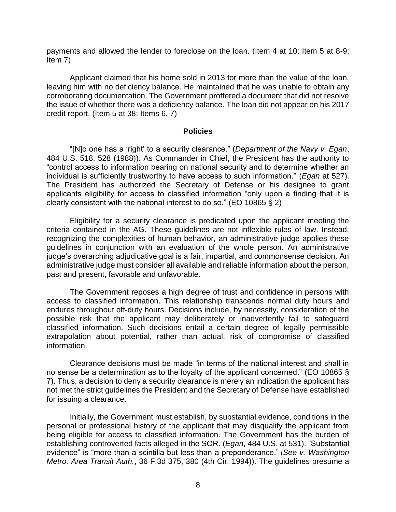payments and allowed the lender to foreclose on the loan. (Item 4 at 10; Item 5 at 8-9; Item 7)

 Applicant claimed that his home sold in 2013 for more than the value of the loan, leaving him with no deficiency balance. He maintained that he was unable to obtain any corroborating documentation. The Government proffered a document that did not resolve the issue of whether there was a deficiency balance. The loan did not appear on his 2017 credit report. (Item 5 at 38; Items 6, 7)

#### **Policies**

 "[N]o one has a 'right' to a security clearance." (*Department of the Navy v. Egan*, 484 U.S. 518, 528 (1988)). As Commander in Chief, the President has the authority to "control access to information bearing on national security and to determine whether an individual is sufficiently trustworthy to have access to such information." (*Egan* at 527). The President has authorized the Secretary of Defense or his designee to grant applicants eligibility for access to classified information "only upon a finding that it is clearly consistent with the national interest to do so." (EO 10865 § 2)

 Eligibility for a security clearance is predicated upon the applicant meeting the criteria contained in the AG. These guidelines are not inflexible rules of law. Instead, recognizing the complexities of human behavior, an administrative judge applies these guidelines in conjunction with an evaluation of the whole person. An administrative administrative judge must consider all available and reliable information about the person, judge's overarching adjudicative goal is a fair, impartial, and commonsense decision. An past and present, favorable and unfavorable.

 The Government reposes a high degree of trust and confidence in persons with access to classified information. This relationship transcends normal duty hours and endures throughout off-duty hours. Decisions include, by necessity, consideration of the possible risk that the applicant may deliberately or inadvertently fail to safeguard classified information. Such decisions entail a certain degree of legally permissible extrapolation about potential, rather than actual, risk of compromise of classified information.

 Clearance decisions must be made "in terms of the national interest and shall in no sense be a determination as to the loyalty of the applicant concerned." (EO 10865 § 7). Thus, a decision to deny a security clearance is merely an indication the applicant has not met the strict guidelines the President and the Secretary of Defense have established for issuing a clearance.

 Initially, the Government must establish, by substantial evidence, conditions in the personal or professional history of the applicant that may disqualify the applicant from being eligible for access to classified information. The Government has the burden of establishing controverted facts alleged in the SOR. (*Egan*, 484 U.S. at 531). "Substantial evidence" is "more than a scintilla but less than a preponderance." (*See v. Washington Metro. Area Transit Auth.*, 36 F.3d 375, 380 (4th Cir. 1994)). The guidelines presume a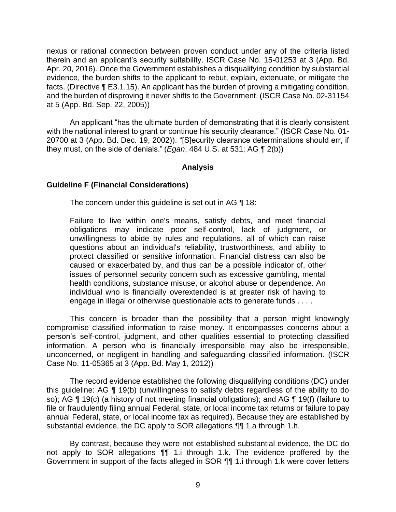nexus or rational connection between proven conduct under any of the criteria listed therein and an applicant's security suitability. ISCR Case No. 15-01253 at 3 (App. Bd. Apr. 20, 2016). Once the Government establishes a disqualifying condition by substantial evidence, the burden shifts to the applicant to rebut, explain, extenuate, or mitigate the facts. (Directive ¶ E3.1.15). An applicant has the burden of proving a mitigating condition, and the burden of disproving it never shifts to the Government. (ISCR Case No. 02-31154 at 5 (App. Bd. Sep. 22, 2005))

An applicant "has the ultimate burden of demonstrating that it is clearly consistent with the national interest to grant or continue his security clearance." (ISCR Case No. 01- 20700 at 3 (App. Bd. Dec. 19, 2002)). "[S]ecurity clearance determinations should err, if they must, on the side of denials." (*Egan*, 484 U.S. at 531; AG ¶ 2(b))

#### **Analysis**

#### **Guideline F (Financial Considerations)**

The concern under this guideline is set out in AG ¶ 18:

Failure to live within one's means, satisfy debts, and meet financial obligations may indicate poor self-control, lack of judgment, or unwillingness to abide by rules and regulations, all of which can raise questions about an individual's reliability, trustworthiness, and ability to protect classified or sensitive information. Financial distress can also be caused or exacerbated by, and thus can be a possible indicator of, other issues of personnel security concern such as excessive gambling, mental health conditions, substance misuse, or alcohol abuse or dependence. An individual who is financially overextended is at greater risk of having to engage in illegal or otherwise questionable acts to generate funds . . . .

 This concern is broader than the possibility that a person might knowingly compromise classified information to raise money. It encompasses concerns about a person's self-control, judgment, and other qualities essential to protecting classified information. A person who is financially irresponsible may also be irresponsible, unconcerned, or negligent in handling and safeguarding classified information. (ISCR Case No. 11-05365 at 3 (App. Bd. May 1, 2012))

 The record evidence established the following disqualifying conditions (DC) under this guideline: AG ¶ 19(b) (unwillingness to satisfy debts regardless of the ability to do so); AG ¶ 19(c) (a history of not meeting financial obligations); and AG ¶ 19(f) (failure to file or fraudulently filing annual Federal, state, or local income tax returns or failure to pay annual Federal, state, or local income tax as required). Because they are established by substantial evidence, the DC apply to SOR allegations ¶¶ 1.a through 1.h.

 By contrast, because they were not established substantial evidence, the DC do not apply to SOR allegations ¶¶ 1.i through 1.k. The evidence proffered by the Government in support of the facts alleged in SOR  $\P$  1. ithrough 1. k were cover letters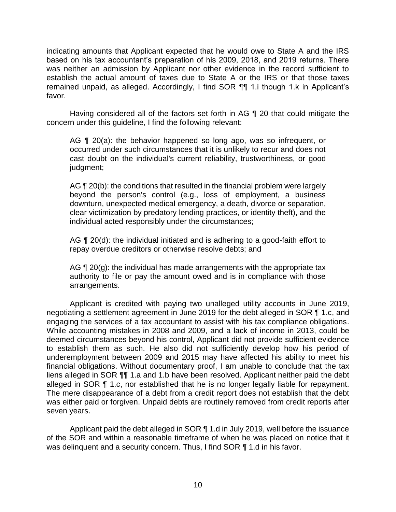indicating amounts that Applicant expected that he would owe to State A and the IRS based on his tax accountant's preparation of his 2009, 2018, and 2019 returns. There was neither an admission by Applicant nor other evidence in the record sufficient to establish the actual amount of taxes due to State A or the IRS or that those taxes remained unpaid, as alleged. Accordingly, I find SOR ¶¶ 1.i though 1.k in Applicant's favor.

 Having considered all of the factors set forth in AG ¶ 20 that could mitigate the concern under this guideline, I find the following relevant:

AG ¶ 20(a): the behavior happened so long ago, was so infrequent, or occurred under such circumstances that it is unlikely to recur and does not cast doubt on the individual's current reliability, trustworthiness, or good judgment;

AG ¶ 20(b): the conditions that resulted in the financial problem were largely beyond the person's control (e.g., loss of employment, a business clear victimization by predatory lending practices, or identity theft), and the downturn, unexpected medical emergency, a death, divorce or separation, individual acted responsibly under the circumstances;

AG ¶ 20(d): the individual initiated and is adhering to a good-faith effort to repay overdue creditors or otherwise resolve debts; and

AG ¶ 20(g): the individual has made arrangements with the appropriate tax authority to file or pay the amount owed and is in compliance with those arrangements.

 Applicant is credited with paying two unalleged utility accounts in June 2019, negotiating a settlement agreement in June 2019 for the debt alleged in SOR ¶ 1.c, and engaging the services of a tax accountant to assist with his tax compliance obligations. While accounting mistakes in 2008 and 2009, and a lack of income in 2013, could be to establish them as such. He also did not sufficiently develop how his period of underemployment between 2009 and 2015 may have affected his ability to meet his financial obligations. Without documentary proof, I am unable to conclude that the tax liens alleged in SOR ¶¶ 1.a and 1.b have been resolved. Applicant neither paid the debt alleged in SOR ¶ 1.c, nor established that he is no longer legally liable for repayment. The mere disappearance of a debt from a credit report does not establish that the debt was either paid or forgiven. Unpaid debts are routinely removed from credit reports after deemed circumstances beyond his control, Applicant did not provide sufficient evidence seven years.

Applicant paid the debt alleged in SOR  $\P$  1.d in July 2019, well before the issuance of the SOR and within a reasonable timeframe of when he was placed on notice that it was delinquent and a security concern. Thus, I find SOR ¶ 1.d in his favor.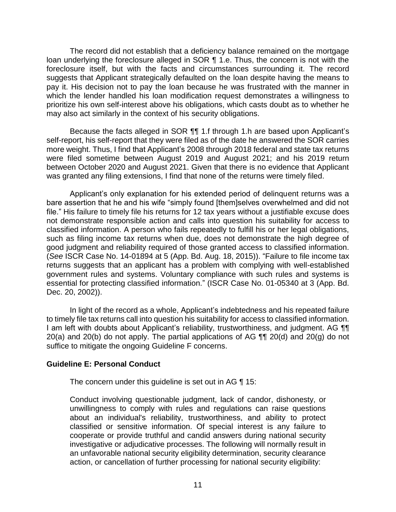The record did not establish that a deficiency balance remained on the mortgage loan underlying the foreclosure alleged in SOR 11.e. Thus, the concern is not with the foreclosure itself, but with the facts and circumstances surrounding it. The record suggests that Applicant strategically defaulted on the loan despite having the means to pay it. His decision not to pay the loan because he was frustrated with the manner in which the lender handled his loan modification request demonstrates a willingness to prioritize his own self-interest above his obligations, which casts doubt as to whether he may also act similarly in the context of his security obligations.

 Because the facts alleged in SOR ¶¶ 1.f through 1.h are based upon Applicant's self-report, his self-report that they were filed as of the date he answered the SOR carries more weight. Thus, I find that Applicant's 2008 through 2018 federal and state tax returns were filed sometime between August 2019 and August 2021; and his 2019 return between October 2020 and August 2021. Given that there is no evidence that Applicant was granted any filing extensions, I find that none of the returns were timely filed.

 Applicant's only explanation for his extended period of delinquent returns was a bare assertion that he and his wife "simply found [them]selves overwhelmed and did not not demonstrate responsible action and calls into question his suitability for access to classified information. A person who fails repeatedly to fulfill his or her legal obligations, such as filing income tax returns when due, does not demonstrate the high degree of good judgment and reliability required of those granted access to classified information. returns suggests that an applicant has a problem with complying with well-established government rules and systems. Voluntary compliance with such rules and systems is essential for protecting classified information." (ISCR Case No. 01-05340 at 3 (App. Bd. file." His failure to timely file his returns for 12 tax years without a justifiable excuse does (*See* ISCR Case No. 14-01894 at 5 (App. Bd. Aug. 18, 2015)). "Failure to file income tax Dec. 20, 2002)).

 In light of the record as a whole, Applicant's indebtedness and his repeated failure to timely file tax returns call into question his suitability for access to classified information. I am left with doubts about Applicant's reliability, trustworthiness, and judgment. AG  $\P\P$ 20(a) and 20(b) do not apply. The partial applications of AG  $\P\P$  20(d) and 20(g) do not suffice to mitigate the ongoing Guideline F concerns.

## **Guideline E: Personal Conduct**

The concern under this guideline is set out in AG ¶ 15:

Conduct involving questionable judgment, lack of candor, dishonesty, or unwillingness to comply with rules and regulations can raise questions about an individual's reliability, trustworthiness, and ability to protect classified or sensitive information. Of special interest is any failure to cooperate or provide truthful and candid answers during national security investigative or adjudicative processes. The following will normally result in an unfavorable national security eligibility determination, security clearance action, or cancellation of further processing for national security eligibility: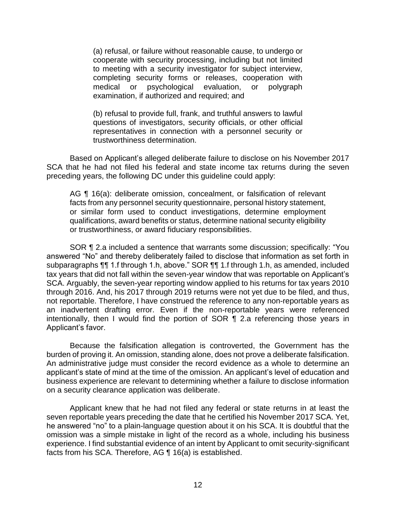(a) refusal, or failure without reasonable cause, to undergo or cooperate with security processing, including but not limited to meeting with a security investigator for subject interview, completing security forms or releases, cooperation with medical or psychological evaluation, or polygraph examination, if authorized and required; and

(b) refusal to provide full, frank, and truthful answers to lawful questions of investigators, security officials, or other official representatives in connection with a personnel security or trustworthiness determination.

 Based on Applicant's alleged deliberate failure to disclose on his November 2017 SCA that he had not filed his federal and state income tax returns during the seven preceding years, the following DC under this guideline could apply:

AG ¶ 16(a): deliberate omission, concealment, or falsification of relevant facts from any personnel security questionnaire, personal history statement, or similar form used to conduct investigations, determine employment qualifications, award benefits or status, determine national security eligibility or trustworthiness, or award fiduciary responsibilities.

 SOR ¶ 2.a included a sentence that warrants some discussion; specifically: "You answered "No" and thereby deliberately failed to disclose that information as set forth in tax years that did not fall within the seven-year window that was reportable on Applicant's SCA. Arguably, the seven-year reporting window applied to his returns for tax years 2010 through 2016. And, his 2017 through 2019 returns were not yet due to be filed, and thus, an inadvertent drafting error. Even if the non-reportable years were referenced intentionally, then I would find the portion of SOR ¶ 2.a referencing those years in subparagraphs ¶¶ 1.f through 1.h, above." SOR ¶¶ 1.f through 1.h, as amended, included not reportable. Therefore, I have construed the reference to any non-reportable years as Applicant's favor.

 Because the falsification allegation is controverted, the Government has the burden of proving it. An omission, standing alone, does not prove a deliberate falsification. An administrative judge must consider the record evidence as a whole to determine an applicant's state of mind at the time of the omission. An applicant's level of education and business experience are relevant to determining whether a failure to disclose information on a security clearance application was deliberate.

 Applicant knew that he had not filed any federal or state returns in at least the seven reportable years preceding the date that he certified his November 2017 SCA. Yet, omission was a simple mistake in light of the record as a whole, including his business experience. I find substantial evidence of an intent by Applicant to omit security-significant he answered "no" to a plain-language question about it on his SCA. It is doubtful that the facts from his SCA. Therefore, AG ¶ 16(a) is established.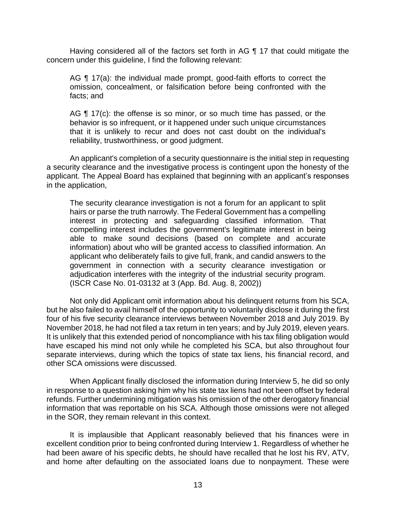Having considered all of the factors set forth in AG ¶ 17 that could mitigate the concern under this guideline, I find the following relevant:

AG ¶ 17(a): the individual made prompt, good-faith efforts to correct the omission, concealment, or falsification before being confronted with the facts; and

AG ¶ 17(c): the offense is so minor, or so much time has passed, or the that it is unlikely to recur and does not cast doubt on the individual's behavior is so infrequent, or it happened under such unique circumstances reliability, trustworthiness, or good judgment.

 An applicant's completion of a security questionnaire is the initial step in requesting a security clearance and the investigative process is contingent upon the honesty of the applicant. The Appeal Board has explained that beginning with an applicant's responses in the application,

The security clearance investigation is not a forum for an applicant to split hairs or parse the truth narrowly. The Federal Government has a compelling interest in protecting and safeguarding classified information. That compelling interest includes the government's legitimate interest in being able to make sound decisions (based on complete and accurate information) about who will be granted access to classified information. An applicant who deliberately fails to give full, frank, and candid answers to the government in connection with a security clearance investigation or adjudication interferes with the integrity of the industrial security program. (ISCR Case No. 01-03132 at 3 (App. Bd. Aug. 8, 2002))

 Not only did Applicant omit information about his delinquent returns from his SCA, but he also failed to avail himself of the opportunity to voluntarily disclose it during the first November 2018, he had not filed a tax return in ten years; and by July 2019, eleven years. It is unlikely that this extended period of noncompliance with his tax filing obligation would have escaped his mind not only while he completed his SCA, but also throughout four separate interviews, during which the topics of state tax liens, his financial record, and four of his five security clearance interviews between November 2018 and July 2019. By other SCA omissions were discussed.

 When Applicant finally disclosed the information during Interview 5, he did so only in response to a question asking him why his state tax liens had not been offset by federal refunds. Further undermining mitigation was his omission of the other derogatory financial information that was reportable on his SCA. Although those omissions were not alleged in the SOR, they remain relevant in this context.

 It is implausible that Applicant reasonably believed that his finances were in excellent condition prior to being confronted during Interview 1. Regardless of whether he had been aware of his specific debts, he should have recalled that he lost his RV, ATV, and home after defaulting on the associated loans due to nonpayment. These were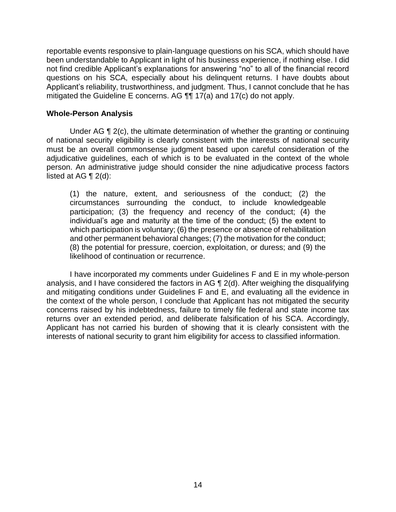reportable events responsive to plain-language questions on his SCA, which should have been understandable to Applicant in light of his business experience, if nothing else. I did not find credible Applicant's explanations for answering "no" to all of the financial record questions on his SCA, especially about his delinquent returns. I have doubts about Applicant's reliability, trustworthiness, and judgment. Thus, I cannot conclude that he has mitigated the Guideline E concerns. AG ¶¶ 17(a) and 17(c) do not apply.

## **Whole-Person Analysis**

 Under AG ¶ 2(c), the ultimate determination of whether the granting or continuing of national security eligibility is clearly consistent with the interests of national security must be an overall commonsense judgment based upon careful consideration of the adjudicative guidelines, each of which is to be evaluated in the context of the whole person. An administrative judge should consider the nine adjudicative process factors listed at AG ¶ 2(d):

(1) the nature, extent, and seriousness of the conduct; (2) the circumstances surrounding the conduct, to include knowledgeable participation; (3) the frequency and recency of the conduct; (4) the individual's age and maturity at the time of the conduct; (5) the extent to which participation is voluntary; (6) the presence or absence of rehabilitation and other permanent behavioral changes; (7) the motivation for the conduct; (8) the potential for pressure, coercion, exploitation, or duress; and (9) the likelihood of continuation or recurrence.

 I have incorporated my comments under Guidelines F and E in my whole-person analysis, and I have considered the factors in AG ¶ 2(d). After weighing the disqualifying and mitigating conditions under Guidelines F and E, and evaluating all the evidence in the context of the whole person, I conclude that Applicant has not mitigated the security concerns raised by his indebtedness, failure to timely file federal and state income tax returns over an extended period, and deliberate falsification of his SCA. Accordingly, Applicant has not carried his burden of showing that it is clearly consistent with the interests of national security to grant him eligibility for access to classified information.